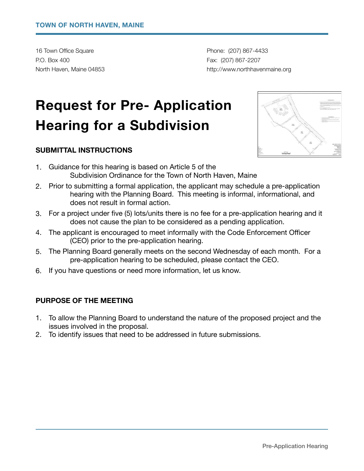16 Town Office Square **by Community Phone:** (207) 867-4433 P.O. Box 400 **Fax: (207) 867-2207** 

North Haven, Maine 04853 *North Haven, Maine 04853 north havenmaine.org northhavenmaine.org* 

# **Request for Pre- Application Hearing for a Subdivision**

## **SUBMITTAL INSTRUCTIONS**



- 1. Guidance for this hearing is based on Article 5 of the Subdivision Ordinance for the Town of North Haven, Maine
- 2. Prior to submitting a formal application, the applicant may schedule a pre-application hearing with the Planning Board. This meeting is informal, informational, and does not result in formal action.
- 3. For a project under five (5) lots/units there is no fee for a pre-application hearing and it does not cause the plan to be considered as a pending application.
- 4. The applicant is encouraged to meet informally with the Code Enforcement Officer (CEO) prior to the pre-application hearing.
- 5. The Planning Board generally meets on the second Wednesday of each month. For a pre-application hearing to be scheduled, please contact the CEO.
- 6. If you have questions or need more information, let us know.

### **PURPOSE OF THE MEETING**

- 1. To allow the Planning Board to understand the nature of the proposed project and the issues involved in the proposal.
- 2. To identify issues that need to be addressed in future submissions.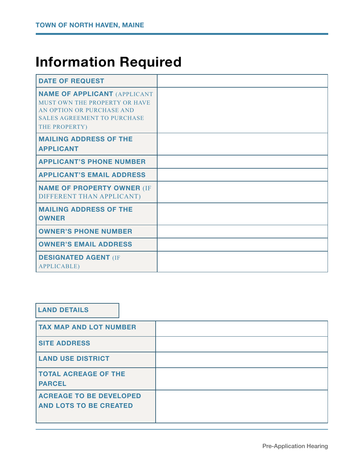## **Information Required**

| <b>DATE OF REQUEST</b>                                                                                                                                   |  |
|----------------------------------------------------------------------------------------------------------------------------------------------------------|--|
| <b>NAME OF APPLICANT (APPLICANT</b><br>MUST OWN THE PROPERTY OR HAVE<br>AN OPTION OR PURCHASE AND<br><b>SALES AGREEMENT TO PURCHASE</b><br>THE PROPERTY) |  |
| <b>MAILING ADDRESS OF THE</b><br><b>APPLICANT</b>                                                                                                        |  |
| <b>APPLICANT'S PHONE NUMBER</b>                                                                                                                          |  |
| <b>APPLICANT'S EMAIL ADDRESS</b>                                                                                                                         |  |
| <b>NAME OF PROPERTY OWNER (IF</b><br>DIFFERENT THAN APPLICANT)                                                                                           |  |
| <b>MAILING ADDRESS OF THE</b><br><b>OWNER</b>                                                                                                            |  |
| <b>OWNER'S PHONE NUMBER</b>                                                                                                                              |  |
| <b>OWNER'S EMAIL ADDRESS</b>                                                                                                                             |  |
| <b>DESIGNATED AGENT (IF</b><br><b>APPLICABLE)</b>                                                                                                        |  |

## **LAND DETAILS**

| <b>TAX MAP AND LOT NUMBER</b>                                   |  |
|-----------------------------------------------------------------|--|
| <b>SITE ADDRESS</b>                                             |  |
| <b>LAND USE DISTRICT</b>                                        |  |
| <b>TOTAL ACREAGE OF THE</b><br><b>PARCEL</b>                    |  |
| <b>ACREAGE TO BE DEVELOPED</b><br><b>AND LOTS TO BE CREATED</b> |  |